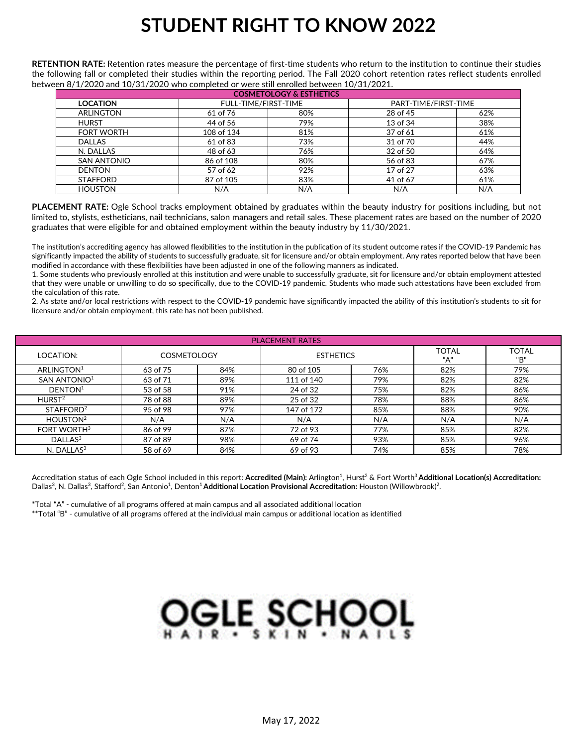## **STUDENT RIGHT TO KNOW 2022**

**RETENTION RATE:** Retention rates measure the percentage of first-time students who return to the institution to continue their studies the following fall or completed their studies within the reporting period. The Fall 2020 cohort retention rates reflect students enrolled between 8/1/2020 and 10/31/2020 who completed or were still enrolled between 10/31/2021.

| <b>COSMETOLOGY &amp; ESTHETICS</b> |                      |     |                      |     |  |  |  |  |  |  |  |  |  |
|------------------------------------|----------------------|-----|----------------------|-----|--|--|--|--|--|--|--|--|--|
| <b>LOCATION</b>                    | FULL-TIME/FIRST-TIME |     | PART-TIME/FIRST-TIME |     |  |  |  |  |  |  |  |  |  |
| ARLINGTON                          | 61 of 76             | 80% | 28 of 45             | 62% |  |  |  |  |  |  |  |  |  |
| <b>HURST</b>                       | 44 of 56             | 79% | 13 of 34             | 38% |  |  |  |  |  |  |  |  |  |
| <b>FORT WORTH</b>                  | 108 of 134           | 81% | 37 of 61             | 61% |  |  |  |  |  |  |  |  |  |
| <b>DALLAS</b>                      | 61 of 83             | 73% | 31 of 70             | 44% |  |  |  |  |  |  |  |  |  |
| N. DALLAS                          | 48 of 63             | 76% | 32 of 50             | 64% |  |  |  |  |  |  |  |  |  |
| <b>SAN ANTONIO</b>                 | 86 of 108            | 80% | 56 of 83             | 67% |  |  |  |  |  |  |  |  |  |
| <b>DENTON</b>                      | 57 of 62             | 92% | 17 of 27             | 63% |  |  |  |  |  |  |  |  |  |
| <b>STAFFORD</b>                    | 87 of 105            | 83% | 41 of 67             | 61% |  |  |  |  |  |  |  |  |  |
| <b>HOUSTON</b>                     | N/A                  | N/A | N/A                  | N/A |  |  |  |  |  |  |  |  |  |

**PLACEMENT RATE:** Ogle School tracks employment obtained by graduates within the beauty industry for positions including, but not limited to, stylists, estheticians, nail technicians, salon managers and retail sales. These placement rates are based on the number of 2020 graduates that were eligible for and obtained employment within the beauty industry by 11/30/2021.

The institution's accrediting agency has allowed flexibilities to the institution in the publication of its student outcome rates if the COVID-19 Pandemic has significantly impacted the ability of students to successfully graduate, sit for licensure and/or obtain employment. Any rates reported below that have been modified in accordance with these flexibilities have been adjusted in one of the following manners as indicated.

1. Some students who previously enrolled at this institution and were unable to successfully graduate, sit for licensure and/or obtain employment attested that they were unable or unwilling to do so specifically, due to the COVID-19 pandemic. Students who made such attestations have been excluded from the calculation of this rate.

2. As state and/or local restrictions with respect to the COVID-19 pandemic have significantly impacted the ability of this institution's students to sit for licensure and/or obtain employment, this rate has not been published.

| <b>PLACEMENT RATES</b>   |                    |     |                  |     |                     |              |  |  |  |  |  |  |  |  |
|--------------------------|--------------------|-----|------------------|-----|---------------------|--------------|--|--|--|--|--|--|--|--|
| LOCATION:                | <b>COSMETOLOGY</b> |     | <b>ESTHETICS</b> |     | <b>TOTAL</b><br>"А" | TOTAL<br>"B" |  |  |  |  |  |  |  |  |
| ARLINGTON <sup>1</sup>   | 63 of 75           | 84% | 80 of 105        | 76% | 82%                 | 79%          |  |  |  |  |  |  |  |  |
| SAN ANTONIO <sup>1</sup> | 63 of 71           | 89% | 111 of 140       | 79% | 82%                 | 82%          |  |  |  |  |  |  |  |  |
| DENTON <sup>1</sup>      | 53 of 58           | 91% | 24 of 32         | 75% | 82%                 | 86%          |  |  |  |  |  |  |  |  |
| HURST <sup>2</sup>       | 78 of 88           | 89% | 25 of 32         | 78% | 88%                 | 86%          |  |  |  |  |  |  |  |  |
| STAFFORD <sup>2</sup>    | 95 of 98           | 97% | 147 of 172       | 85% | 88%                 | 90%          |  |  |  |  |  |  |  |  |
| HOUSTON <sup>2</sup>     | N/A                | N/A | N/A              | N/A | N/A                 | N/A          |  |  |  |  |  |  |  |  |
| FORT WORTH <sup>3</sup>  | 86 of 99           | 87% | 72 of 93         | 77% | 85%                 | 82%          |  |  |  |  |  |  |  |  |
| DALLAS <sup>3</sup>      | 87 of 89           | 98% | 69 of 74         | 93% | 85%                 | 96%          |  |  |  |  |  |  |  |  |
| $N.$ DALLAS $3$          | 58 of 69           | 84% | 69 of 93         | 74% | 85%                 | 78%          |  |  |  |  |  |  |  |  |

Accreditation status of each Ogle School included in this report: **Accredited (Main):** Arlington<sup>1</sup>, Hurst<sup>2</sup> & Fort Worth<sup>3</sup> **Additional Location(s) Accreditation:** Dallas<sup>3</sup>, N. Dallas<sup>3</sup>, Stafford<sup>2</sup>, San Antonio<sup>1</sup>, Denton<sup>1</sup> **Additional Location Provisional Accreditation:** Houston (Willowbrook)<sup>2</sup>.

\*Total "A" - cumulative of all programs offered at main campus and all associated additional location

\*\*Total "B" - cumulative of all programs offered at the individual main campus or additional location as identified

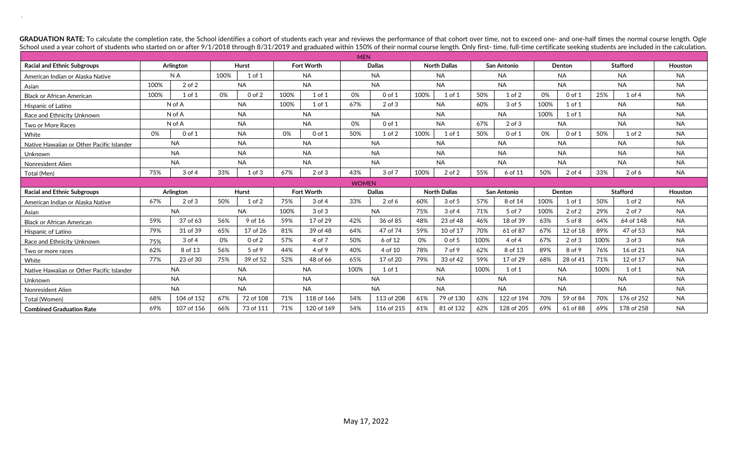GRADUATION RATE: To calculate the completion rate, the School identifies a cohort of students each year and reviews the performance of that cohort over time, not to exceed one- and one-half times the normal course length. School used a year cohort of students who started on or after 9/1/2018 through 8/31/2019 and graduated within 150% of their normal course length. Only first- time, full-time certificate seeking students are included in the

.

| <b>MEN</b>                                |      |            |           |            |           |                   |               |               |                     |                     |             |                    |           |            |                 |                   |           |
|-------------------------------------------|------|------------|-----------|------------|-----------|-------------------|---------------|---------------|---------------------|---------------------|-------------|--------------------|-----------|------------|-----------------|-------------------|-----------|
| <b>Racial and Ethnic Subgroups</b>        |      | Arlington  |           | Hurst      |           | <b>Fort Worth</b> |               | <b>Dallas</b> |                     | <b>North Dallas</b> |             | <b>San Antonio</b> |           | Denton     |                 | <b>Stafford</b>   | Houston   |
| American Indian or Alaska Native          |      | N A        | 100%      | 1 of 1     |           | <b>NA</b>         |               | <b>NA</b>     |                     | <b>NA</b>           |             | <b>NA</b>          |           | NA.        |                 | <b>NA</b>         | <b>NA</b> |
| Asian                                     | 100% | $2$ of $2$ |           | <b>NA</b>  | <b>NA</b> |                   | <b>NA</b>     |               | <b>NA</b>           |                     | <b>NA</b>   |                    | <b>NA</b> |            | <b>NA</b>       |                   | <b>NA</b> |
| <b>Black or African American</b>          | 100% | $1$ of $1$ | 0%        | $0$ of $2$ | 100%      | $1$ of $1$        | 0%            | $0$ of $1$    | 100%                | $1$ of $1$          | 50%         | $1$ of $2$         | 0%        | $0$ of $1$ | 25%             | 1 <sub>of</sub> 4 | <b>NA</b> |
| Hispanic of Latino                        |      | N of A     |           | <b>NA</b>  | 100%      | $1$ of $1$        | 67%           | $2$ of $3$    |                     | <b>NA</b>           |             | $3$ of $5$         | 100%      | $1$ of $1$ | <b>NA</b>       |                   | <b>NA</b> |
| Race and Ethnicity Unknown                |      | N of A     |           | <b>NA</b>  |           | <b>NA</b>         |               | <b>NA</b>     |                     | <b>NA</b>           |             | <b>NA</b>          | 100%      | $1$ of $1$ | <b>NA</b>       |                   | <b>NA</b> |
| Two or More Races                         |      | N of A     |           | <b>NA</b>  |           | <b>NA</b>         | 0%            | $0$ of $1$    |                     | <b>NA</b>           | 67%         | $2$ of $3$         |           | <b>NA</b>  |                 | <b>NA</b>         | <b>NA</b> |
| White                                     | 0%   | $0$ of $1$ |           | <b>NA</b>  | 0%        | $0$ of $1$        | 50%           | $1$ of $2$    | 100%                | $1$ of $1$          | 50%         | $0$ of $1$         | 0%        | $0$ of $1$ | 50%             | $1$ of $2$        | <b>NA</b> |
| Native Hawaiian or Other Pacific Islander |      | <b>NA</b>  |           | <b>NA</b>  |           | <b>NA</b>         |               | <b>NA</b>     |                     | <b>NA</b>           |             | <b>NA</b>          |           | <b>NA</b>  | <b>NA</b>       |                   | <b>NA</b> |
| Unknown                                   |      | <b>NA</b>  | <b>NA</b> |            |           | <b>NA</b>         |               | <b>NA</b>     |                     | <b>NA</b>           |             | <b>NA</b>          |           | <b>NA</b>  | <b>NA</b>       |                   | <b>NA</b> |
| Nonresident Alien                         |      | <b>NA</b>  |           | <b>NA</b>  | <b>NA</b> |                   | <b>NA</b>     |               | <b>NA</b>           |                     | <b>NA</b>   |                    | <b>NA</b> |            | <b>NA</b>       |                   | <b>NA</b> |
| Total (Men)                               | 75%  | 3 of 4     | 33%       | $1$ of $3$ | 67%       | $2$ of $3$        | 43%           | 3 of 7        | 100%                | $2$ of $2$          | 55%         | 6 of 11            | 50%       | $2$ of 4   | 33%             | $2$ of 6          | <b>NA</b> |
|                                           |      |            |           |            |           |                   | <b>WOMEN</b>  |               |                     |                     |             |                    |           |            |                 |                   |           |
| <b>Racial and Ethnic Subgroups</b>        |      | Arlington  |           | Hurst      |           | <b>Fort Worth</b> | <b>Dallas</b> |               | <b>North Dallas</b> |                     | San Antonio |                    | Denton    |            | <b>Stafford</b> |                   | Houston   |
| American Indian or Alaska Native          | 67%  | $2$ of $3$ | 50%       | $1$ of $2$ | 75%       | $3$ of $4$        | 33%           | $2$ of 6      | 60%                 | 3 of 5              | 57%         | 8 of 14            | 100%      | 1 of 1     | 50%             | $1$ of $2$        | <b>NA</b> |
| Asian                                     |      | <b>NA</b>  |           | <b>NA</b>  | 100%      | $3$ of $3$        |               | <b>NA</b>     | 75%                 | $3$ of $4$          |             | 5 of 7             | 100%      | $2$ of $2$ | 29%             | 2 of 7            | <b>NA</b> |
| <b>Black or African American</b>          | 59%  | 37 of 63   | 56%       | 9 of 16    | 59%       | 17 of 29          | 42%           | 36 of 85      | 48%                 | 23 of 48            | 46%         | 18 of 39           | 63%       | 5 of 8     | 64%             | 64 of 148         | <b>NA</b> |
| <b>Hispanic of Latino</b>                 | 79%  | 31 of 39   | 65%       | 17 of 26   | 81%       | 39 of 48          | 64%           | 47 of 74      | 59%                 | 10 of 17            | 70%         | 61 of 87           | 67%       | 12 of 18   | 89%             | 47 of 53          | <b>NA</b> |
| Race and Ethnicity Unknown                | 75%  | 3 of 4     | 0%        | $0$ of $2$ | 57%       | 4 of 7            | 50%           | 6 of 12       | 0%                  | $0$ of 5            | 100%        | 4 of 4             | 67%       | $2$ of $3$ | 100%            | $3$ of $3$        | <b>NA</b> |
| Two or more races                         | 62%  | 8 of 13    | 56%       | 5 of 9     | 44%       | 4 of 9            | 40%           | 4 of 10       | 78%                 | 7 of 9              | 62%         | 8 of 13            | 89%       | 8 of 9     | 76%             | 16 of 21          | <b>NA</b> |
| White                                     | 77%  | 23 of 30   | 75%       | 39 of 52   | 52%       | 48 of 66          | 65%           | 17 of 20      | 79%                 | 33 of 42            | 59%         | 17 of 29           | 68%       | 28 of 41   | 71%             | 12 of 17          | <b>NA</b> |
| Native Hawaiian or Other Pacific Islander |      | <b>NA</b>  |           | <b>NA</b>  |           | <b>NA</b>         | 100%          | $1$ of $1$    |                     | <b>NA</b>           | 100%        | $1$ of $1$         |           | <b>NA</b>  | 100%            | $1$ of $1$        | <b>NA</b> |
| Unknown                                   |      | <b>NA</b>  |           | <b>NA</b>  |           | <b>NA</b>         |               | <b>NA</b>     |                     | <b>NA</b>           |             | <b>NA</b>          | <b>NA</b> |            |                 | <b>NA</b>         | <b>NA</b> |
| Nonresident Alien                         |      | <b>NA</b>  |           | <b>NA</b>  |           | <b>NA</b>         |               | <b>NA</b>     | <b>NA</b>           |                     | <b>NA</b>   |                    | <b>NA</b> |            |                 | <b>NA</b>         | <b>NA</b> |
| Total (Women)                             | 68%  | 104 of 152 | 67%       | 72 of 108  | 71%       | 118 of 166        | 54%           | 113 of 208    | 61%                 | 79 of 130           | 63%         | 122 of 194         | 70%       | 59 of 84   | 70%             | 176 of 252        | <b>NA</b> |
| <b>Combined Graduation Rate</b>           | 69%  | 107 of 156 | 66%       | 73 of 111  | 71%       | 120 of 169        | 54%           | 116 of 215    | 61%                 | 81 of 132           | 62%         | 128 of 205         | 69%       | 61 of 88   | 69%             | 178 of 258        | <b>NA</b> |